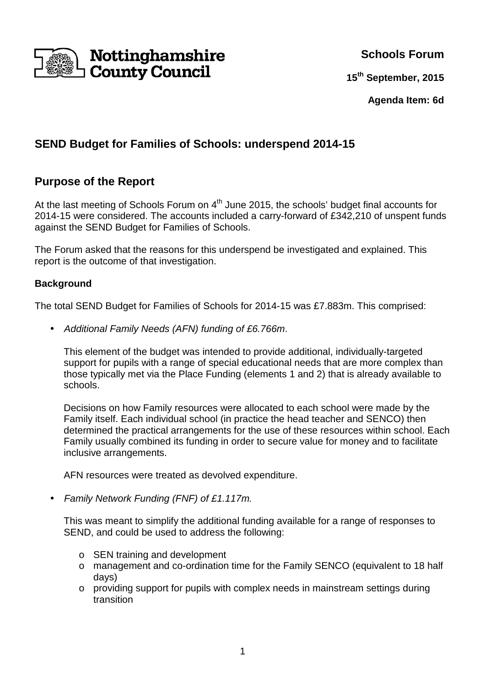

**Schools Forum**

**15th September, 2015**

**Agenda Item: 6d**

# **SEND Budget for Families of Schools: underspend 2014-15**

## **Purpose of the Report**

At the last meeting of Schools Forum on 4<sup>th</sup> June 2015, the schools' budget final accounts for 2014-15 were considered. The accounts included a carry-forward of £342,210 of unspent funds against the SEND Budget for Families of Schools.

The Forum asked that the reasons for this underspend be investigated and explained. This report is the outcome of that investigation.

#### **Background**

The total SEND Budget for Families of Schools for 2014-15 was £7.883m. This comprised:

• Additional Family Needs (AFN) funding of £6.766m.

This element of the budget was intended to provide additional, individually-targeted support for pupils with a range of special educational needs that are more complex than those typically met via the Place Funding (elements 1 and 2) that is already available to schools.

Decisions on how Family resources were allocated to each school were made by the Family itself. Each individual school (in practice the head teacher and SENCO) then determined the practical arrangements for the use of these resources within school. Each Family usually combined its funding in order to secure value for money and to facilitate inclusive arrangements.

AFN resources were treated as devolved expenditure.

• Family Network Funding (FNF) of £1.117m.

This was meant to simplify the additional funding available for a range of responses to SEND, and could be used to address the following:

- o SEN training and development
- o management and co-ordination time for the Family SENCO (equivalent to 18 half days)
- o providing support for pupils with complex needs in mainstream settings during transition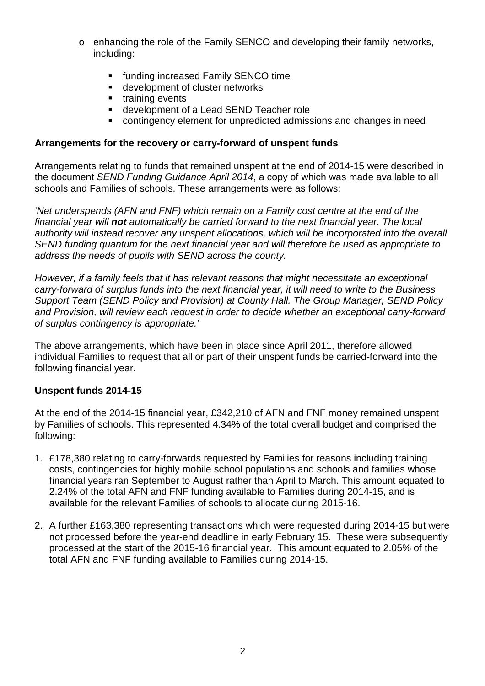- o enhancing the role of the Family SENCO and developing their family networks, including:
	- funding increased Family SENCO time
	- **development of cluster networks**
	- $\blacksquare$  training events
	- development of a Lead SEND Teacher role
	- contingency element for unpredicted admissions and changes in need

#### **Arrangements for the recovery or carry-forward of unspent funds**

Arrangements relating to funds that remained unspent at the end of 2014-15 were described in the document SEND Funding Guidance April 2014, a copy of which was made available to all schools and Families of schools. These arrangements were as follows:

'Net underspends (AFN and FNF) which remain on a Family cost centre at the end of the financial year will **not** automatically be carried forward to the next financial year. The local authority will instead recover any unspent allocations, which will be incorporated into the overall SEND funding quantum for the next financial year and will therefore be used as appropriate to address the needs of pupils with SEND across the county.

However, if a family feels that it has relevant reasons that might necessitate an exceptional carry-forward of surplus funds into the next financial year, it will need to write to the Business Support Team (SEND Policy and Provision) at County Hall. The Group Manager, SEND Policy and Provision, will review each request in order to decide whether an exceptional carry-forward of surplus contingency is appropriate.'

The above arrangements, which have been in place since April 2011, therefore allowed individual Families to request that all or part of their unspent funds be carried-forward into the following financial year.

#### **Unspent funds 2014-15**

At the end of the 2014-15 financial year, £342,210 of AFN and FNF money remained unspent by Families of schools. This represented 4.34% of the total overall budget and comprised the following:

- 1. £178,380 relating to carry-forwards requested by Families for reasons including training costs, contingencies for highly mobile school populations and schools and families whose financial years ran September to August rather than April to March. This amount equated to 2.24% of the total AFN and FNF funding available to Families during 2014-15, and is available for the relevant Families of schools to allocate during 2015-16.
- 2. A further £163,380 representing transactions which were requested during 2014-15 but were not processed before the year-end deadline in early February 15. These were subsequently processed at the start of the 2015-16 financial year. This amount equated to 2.05% of the total AFN and FNF funding available to Families during 2014-15.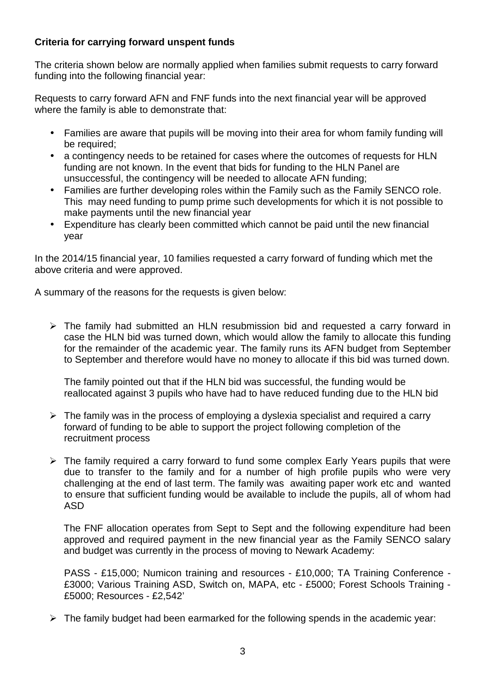### **Criteria for carrying forward unspent funds**

The criteria shown below are normally applied when families submit requests to carry forward funding into the following financial year:

Requests to carry forward AFN and FNF funds into the next financial year will be approved where the family is able to demonstrate that:

- Families are aware that pupils will be moving into their area for whom family funding will be required;
- a contingency needs to be retained for cases where the outcomes of requests for HLN funding are not known. In the event that bids for funding to the HLN Panel are unsuccessful, the contingency will be needed to allocate AFN funding;
- Families are further developing roles within the Family such as the Family SENCO role. This may need funding to pump prime such developments for which it is not possible to make payments until the new financial year
- Expenditure has clearly been committed which cannot be paid until the new financial year

In the 2014/15 financial year, 10 families requested a carry forward of funding which met the above criteria and were approved.

A summary of the reasons for the requests is given below:

> The family had submitted an HLN resubmission bid and requested a carry forward in case the HLN bid was turned down, which would allow the family to allocate this funding for the remainder of the academic year. The family runs its AFN budget from September to September and therefore would have no money to allocate if this bid was turned down.

The family pointed out that if the HLN bid was successful, the funding would be reallocated against 3 pupils who have had to have reduced funding due to the HLN bid

- > The family was in the process of employing a dyslexia specialist and required a carry forward of funding to be able to support the project following completion of the recruitment process
- > The family required a carry forward to fund some complex Early Years pupils that were due to transfer to the family and for a number of high profile pupils who were very challenging at the end of last term. The family was awaiting paper work etc and wanted to ensure that sufficient funding would be available to include the pupils, all of whom had ASD

The FNF allocation operates from Sept to Sept and the following expenditure had been approved and required payment in the new financial year as the Family SENCO salary and budget was currently in the process of moving to Newark Academy:

PASS - £15,000; Numicon training and resources - £10,000; TA Training Conference - £3000; Various Training ASD, Switch on, MAPA, etc - £5000; Forest Schools Training - £5000; Resources - £2,542'

> The family budget had been earmarked for the following spends in the academic year: